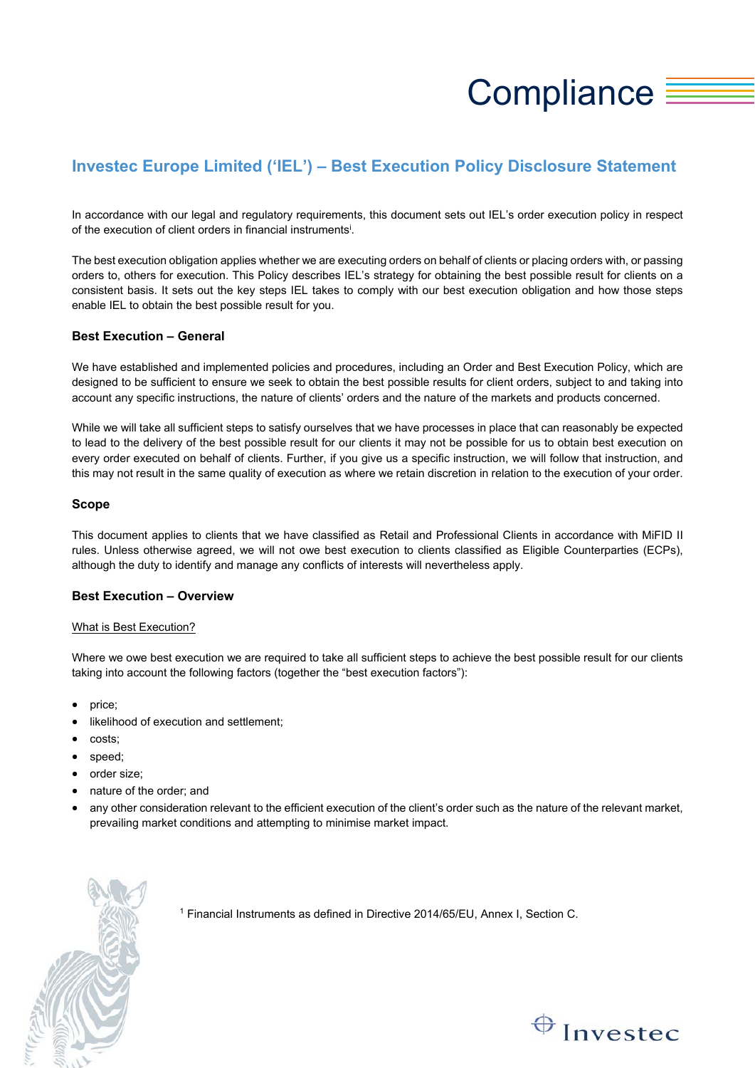# Compliance  $\equiv$

# **Investec Europe Limited ('IEL') – Best Execution Policy Disclosure Statement**

In accordance with our legal and regulatory requirements, this document sets out IEL's order execution policy in respect of the execution of client orders in financial instruments<sup>i</sup>.

The best execution obligation applies whether we are executing orders on behalf of clients or placing orders with, or passing orders to, others for execution. This Policy describes IEL's strategy for obtaining the best possible result for clients on a consistent basis. It sets out the key steps IEL takes to comply with our best execution obligation and how those steps enable IEL to obtain the best possible result for you.

# **Best Execution – General**

We have established and implemented policies and procedures, including an Order and Best Execution Policy, which are designed to be sufficient to ensure we seek to obtain the best possible results for client orders, subject to and taking into account any specific instructions, the nature of clients' orders and the nature of the markets and products concerned.

While we will take all sufficient steps to satisfy ourselves that we have processes in place that can reasonably be expected to lead to the delivery of the best possible result for our clients it may not be possible for us to obtain best execution on every order executed on behalf of clients. Further, if you give us a specific instruction, we will follow that instruction, and this may not result in the same quality of execution as where we retain discretion in relation to the execution of your order.

# **Scope**

This document applies to clients that we have classified as Retail and Professional Clients in accordance with MiFID II rules. Unless otherwise agreed, we will not owe best execution to clients classified as Eligible Counterparties (ECPs), although the duty to identify and manage any conflicts of interests will nevertheless apply.

# **Best Execution – Overview**

### What is Best Execution?

Where we owe best execution we are required to take all sufficient steps to achieve the best possible result for our clients taking into account the following factors (together the "best execution factors"):

- price;
- likelihood of execution and settlement;
- costs;
- speed;
- order size;
- nature of the order; and
- any other consideration relevant to the efficient execution of the client's order such as the nature of the relevant market, prevailing market conditions and attempting to minimise market impact.



<sup>1</sup> Financial Instruments as defined in Directive 2014/65/EU, Annex I, Section C.

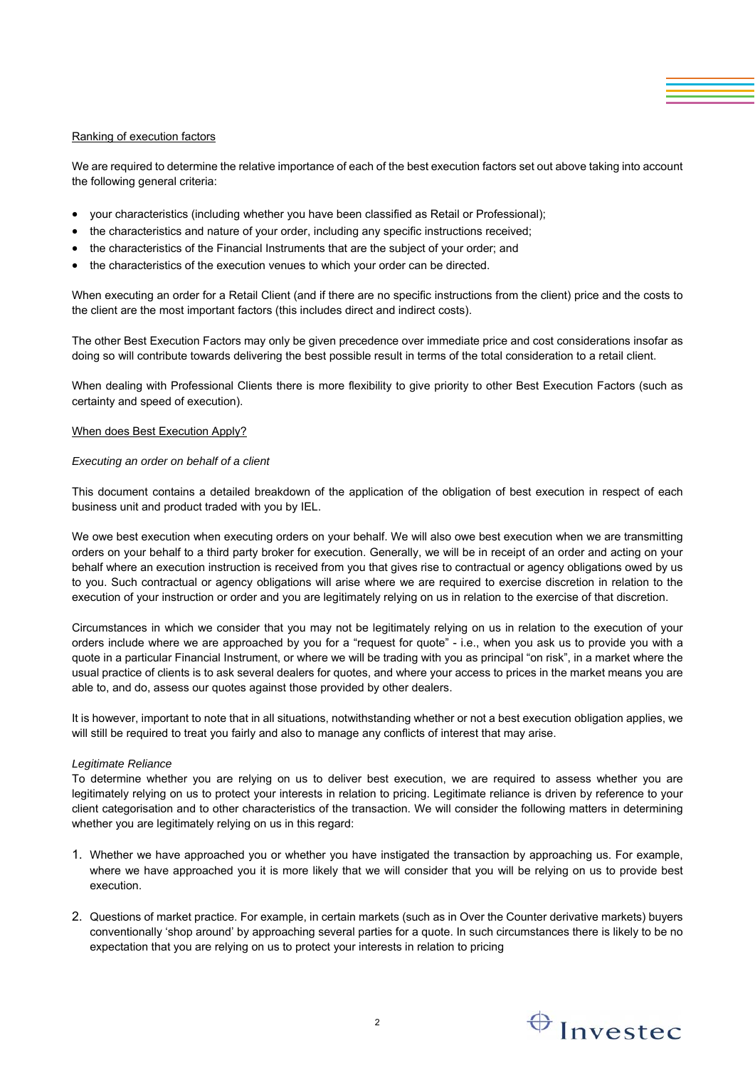# Ranking of execution factors

We are required to determine the relative importance of each of the best execution factors set out above taking into account the following general criteria:

- your characteristics (including whether you have been classified as Retail or Professional);
- the characteristics and nature of your order, including any specific instructions received;
- the characteristics of the Financial Instruments that are the subject of your order; and
- the characteristics of the execution venues to which your order can be directed.

When executing an order for a Retail Client (and if there are no specific instructions from the client) price and the costs to the client are the most important factors (this includes direct and indirect costs).

The other Best Execution Factors may only be given precedence over immediate price and cost considerations insofar as doing so will contribute towards delivering the best possible result in terms of the total consideration to a retail client.

When dealing with Professional Clients there is more flexibility to give priority to other Best Execution Factors (such as certainty and speed of execution).

### When does Best Execution Apply?

### *Executing an order on behalf of a client*

This document contains a detailed breakdown of the application of the obligation of best execution in respect of each business unit and product traded with you by IEL.

We owe best execution when executing orders on your behalf. We will also owe best execution when we are transmitting orders on your behalf to a third party broker for execution. Generally, we will be in receipt of an order and acting on your behalf where an execution instruction is received from you that gives rise to contractual or agency obligations owed by us to you. Such contractual or agency obligations will arise where we are required to exercise discretion in relation to the execution of your instruction or order and you are legitimately relying on us in relation to the exercise of that discretion.

Circumstances in which we consider that you may not be legitimately relying on us in relation to the execution of your orders include where we are approached by you for a "request for quote" - i.e., when you ask us to provide you with a quote in a particular Financial Instrument, or where we will be trading with you as principal "on risk", in a market where the usual practice of clients is to ask several dealers for quotes, and where your access to prices in the market means you are able to, and do, assess our quotes against those provided by other dealers.

It is however, important to note that in all situations, notwithstanding whether or not a best execution obligation applies, we will still be required to treat you fairly and also to manage any conflicts of interest that may arise.

### *Legitimate Reliance*

To determine whether you are relying on us to deliver best execution, we are required to assess whether you are legitimately relying on us to protect your interests in relation to pricing. Legitimate reliance is driven by reference to your client categorisation and to other characteristics of the transaction. We will consider the following matters in determining whether you are legitimately relying on us in this regard:

- 1. Whether we have approached you or whether you have instigated the transaction by approaching us. For example, where we have approached you it is more likely that we will consider that you will be relying on us to provide best execution.
- 2. Questions of market practice. For example, in certain markets (such as in Over the Counter derivative markets) buyers conventionally 'shop around' by approaching several parties for a quote. In such circumstances there is likely to be no expectation that you are relying on us to protect your interests in relation to pricing

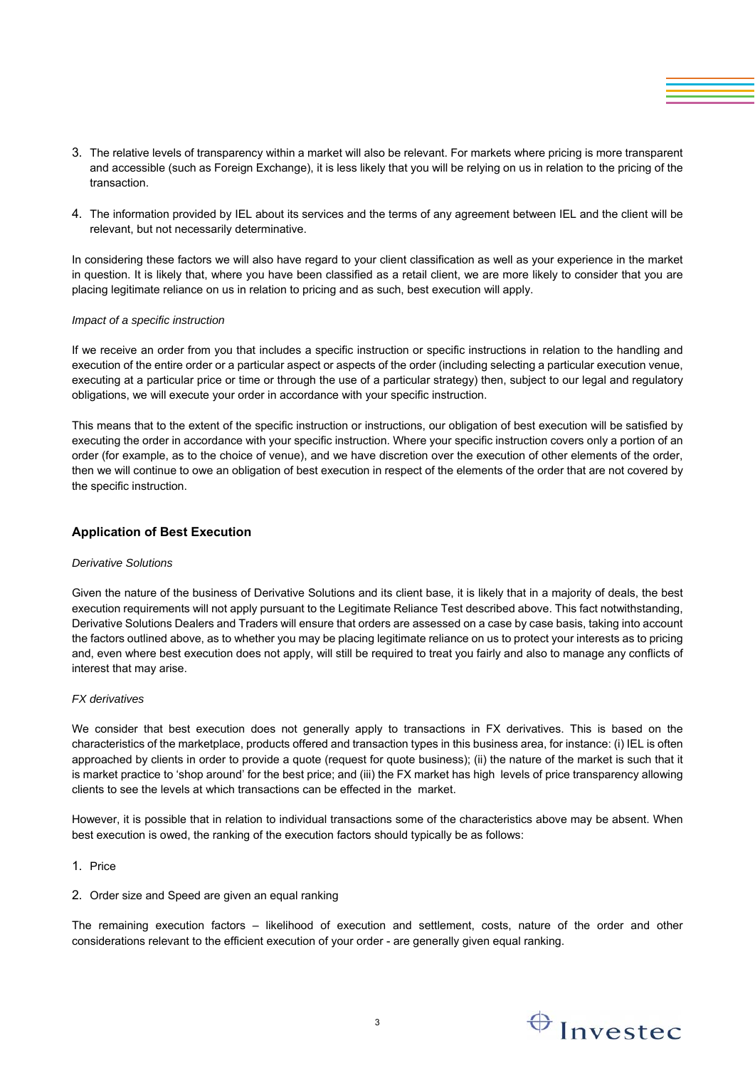- 3. The relative levels of transparency within a market will also be relevant. For markets where pricing is more transparent and accessible (such as Foreign Exchange), it is less likely that you will be relying on us in relation to the pricing of the transaction.
- 4. The information provided by IEL about its services and the terms of any agreement between IEL and the client will be relevant, but not necessarily determinative.

In considering these factors we will also have regard to your client classification as well as your experience in the market in question. It is likely that, where you have been classified as a retail client, we are more likely to consider that you are placing legitimate reliance on us in relation to pricing and as such, best execution will apply.

### *Impact of a specific instruction*

If we receive an order from you that includes a specific instruction or specific instructions in relation to the handling and execution of the entire order or a particular aspect or aspects of the order (including selecting a particular execution venue, executing at a particular price or time or through the use of a particular strategy) then, subject to our legal and regulatory obligations, we will execute your order in accordance with your specific instruction.

This means that to the extent of the specific instruction or instructions, our obligation of best execution will be satisfied by executing the order in accordance with your specific instruction. Where your specific instruction covers only a portion of an order (for example, as to the choice of venue), and we have discretion over the execution of other elements of the order, then we will continue to owe an obligation of best execution in respect of the elements of the order that are not covered by the specific instruction.

# **Application of Best Execution**

#### *Derivative Solutions*

Given the nature of the business of Derivative Solutions and its client base, it is likely that in a majority of deals, the best execution requirements will not apply pursuant to the Legitimate Reliance Test described above. This fact notwithstanding, Derivative Solutions Dealers and Traders will ensure that orders are assessed on a case by case basis, taking into account the factors outlined above, as to whether you may be placing legitimate reliance on us to protect your interests as to pricing and, even where best execution does not apply, will still be required to treat you fairly and also to manage any conflicts of interest that may arise.

### *FX derivatives*

We consider that best execution does not generally apply to transactions in FX derivatives. This is based on the characteristics of the marketplace, products offered and transaction types in this business area, for instance: (i) IEL is often approached by clients in order to provide a quote (request for quote business); (ii) the nature of the market is such that it is market practice to 'shop around' for the best price; and (iii) the FX market has high levels of price transparency allowing clients to see the levels at which transactions can be effected in the market.

However, it is possible that in relation to individual transactions some of the characteristics above may be absent. When best execution is owed, the ranking of the execution factors should typically be as follows:

- 1. Price
- 2. Order size and Speed are given an equal ranking

The remaining execution factors – likelihood of execution and settlement, costs, nature of the order and other considerations relevant to the efficient execution of your order - are generally given equal ranking.

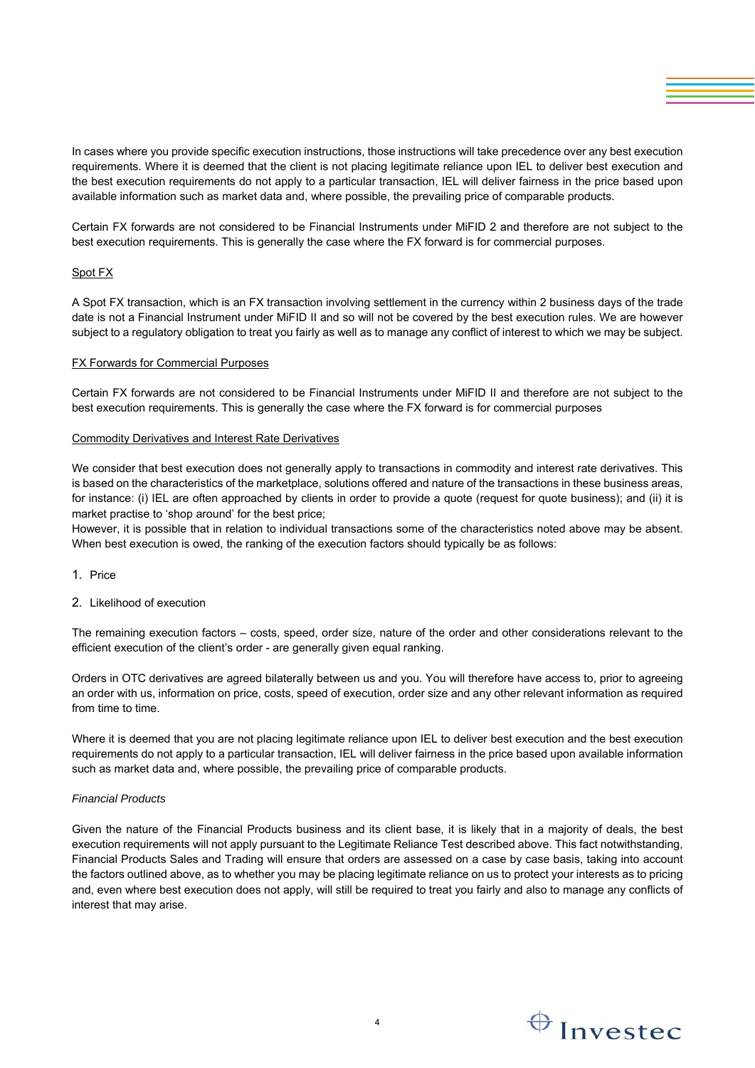In cases where you provide specific execution instructions, those instructions will take precedence over any best execution requirements. Where it is deemed that the client is not placing legitimate reliance upon IEL to deliver best execution and the best execution requirements do not apply to a particular transaction, IEL will deliver fairness in the price based upon available information such as market data and, where possible, the prevailing price of comparable products.

Certain FX forwards are not considered to be Financial Instruments under MiFID 2 and therefore are not subject to the best execution requirements. This is generally the case where the FX forward is for commercial purposes.

# Spot FX

A Spot FX transaction, which is an FX transaction involving settlement in the currency within 2 business days of the trade date is not a Financial Instrument under MiFID II and so will not be covered by the best execution rules. We are however subject to a regulatory obligation to treat you fairly as well as to manage any conflict of interest to which we may be subject.

#### FX Forwards for Commercial Purposes

Certain FX forwards are not considered to be Financial Instruments under MiFID II and therefore are not subject to the best execution requirements. This is generally the case where the FX forward is for commercial purposes

# Commodity Derivatives and Interest Rate Derivatives

We consider that best execution does not generally apply to transactions in commodity and interest rate derivatives. This is based on the characteristics of the marketplace, solutions offered and nature of the transactions in these business areas, for instance: (i) IEL are often approached by clients in order to provide a quote (request for quote business); and (ii) it is market practise to 'shop around' for the best price;

However, it is possible that in relation to individual transactions some of the characteristics noted above may be absent. When best execution is owed, the ranking of the execution factors should typically be as follows:

- 1. Price
- 2. Likelihood of execution

The remaining execution factors – costs, speed, order size, nature of the order and other considerations relevant to the efficient execution of the client's order - are generally given equal ranking.

Orders in OTC derivatives are agreed bilaterally between us and you. You will therefore have access to, prior to agreeing an order with us, information on price, costs, speed of execution, order size and any other relevant information as required from time to time.

Where it is deemed that you are not placing legitimate reliance upon IEL to deliver best execution and the best execution requirements do not apply to a particular transaction, IEL will deliver fairness in the price based upon available information such as market data and, where possible, the prevailing price of comparable products.

#### *Financial Products*

Given the nature of the Financial Products business and its client base, it is likely that in a majority of deals, the best execution requirements will not apply pursuant to the Legitimate Reliance Test described above. This fact notwithstanding, Financial Products Sales and Trading will ensure that orders are assessed on a case by case basis, taking into account the factors outlined above, as to whether you may be placing legitimate reliance on us to protect your interests as to pricing and, even where best execution does not apply, will still be required to treat you fairly and also to manage any conflicts of interest that may arise.

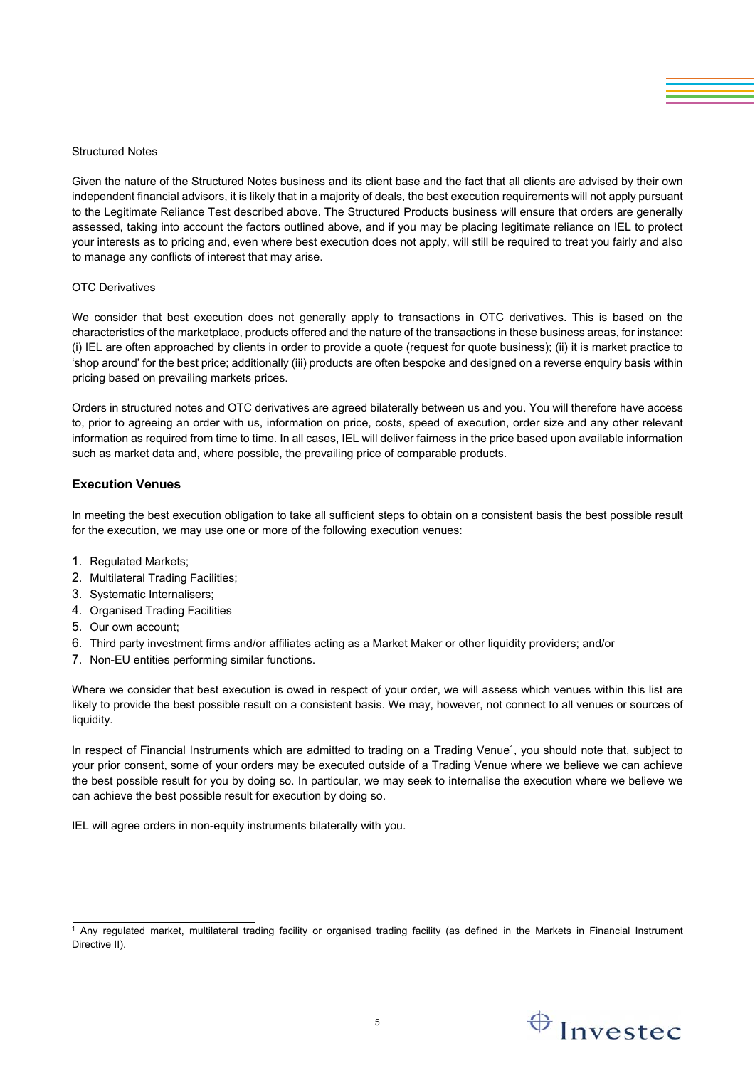# Structured Notes

Given the nature of the Structured Notes business and its client base and the fact that all clients are advised by their own independent financial advisors, it is likely that in a majority of deals, the best execution requirements will not apply pursuant to the Legitimate Reliance Test described above. The Structured Products business will ensure that orders are generally assessed, taking into account the factors outlined above, and if you may be placing legitimate reliance on IEL to protect your interests as to pricing and, even where best execution does not apply, will still be required to treat you fairly and also to manage any conflicts of interest that may arise.

#### OTC Derivatives

We consider that best execution does not generally apply to transactions in OTC derivatives. This is based on the characteristics of the marketplace, products offered and the nature of the transactions in these business areas, for instance: (i) IEL are often approached by clients in order to provide a quote (request for quote business); (ii) it is market practice to 'shop around' for the best price; additionally (iii) products are often bespoke and designed on a reverse enquiry basis within pricing based on prevailing markets prices.

Orders in structured notes and OTC derivatives are agreed bilaterally between us and you. You will therefore have access to, prior to agreeing an order with us, information on price, costs, speed of execution, order size and any other relevant information as required from time to time. In all cases, IEL will deliver fairness in the price based upon available information such as market data and, where possible, the prevailing price of comparable products.

# **Execution Venues**

In meeting the best execution obligation to take all sufficient steps to obtain on a consistent basis the best possible result for the execution, we may use one or more of the following execution venues:

- 1. Regulated Markets;
- 2. Multilateral Trading Facilities;
- 3. Systematic Internalisers;
- 4. Organised Trading Facilities
- 5. Our own account;
- 6. Third party investment firms and/or affiliates acting as a Market Maker or other liquidity providers; and/or
- 7. Non-EU entities performing similar functions.

Where we consider that best execution is owed in respect of your order, we will assess which venues within this list are likely to provide the best possible result on a consistent basis. We may, however, not connect to all venues or sources of liquidity.

In respect of Financial Instruments which are admitted to trading on a Trading Venue<sup>1</sup>, you should note that, subject to your prior consent, some of your orders may be executed outside of a Trading Venue where we believe we can achieve the best possible result for you by doing so. In particular, we may seek to internalise the execution where we believe we can achieve the best possible result for execution by doing so.

IEL will agree orders in non-equity instruments bilaterally with you.



<sup>&</sup>lt;sup>1</sup> Any regulated market, multilateral trading facility or organised trading facility (as defined in the Markets in Financial Instrument Directive II).